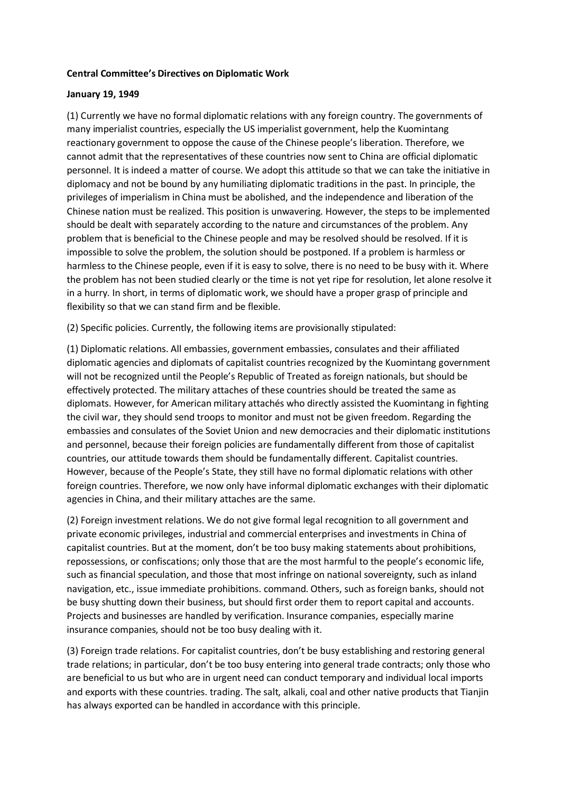## **Central Committee's Directives on Diplomatic Work**

## **January 19, 1949**

(1) Currently we have no formal diplomatic relations with any foreign country. The governments of many imperialist countries, especially the US imperialist government, help the Kuomintang reactionary government to oppose the cause of the Chinese people's liberation. Therefore, we cannot admit that the representatives of these countries now sent to China are official diplomatic personnel. It is indeed a matter of course. We adopt this attitude so that we can take the initiative in diplomacy and not be bound by any humiliating diplomatic traditions in the past. In principle, the privileges of imperialism in China must be abolished, and the independence and liberation of the Chinese nation must be realized. This position is unwavering. However, the steps to be implemented should be dealt with separately according to the nature and circumstances of the problem. Any problem that is beneficial to the Chinese people and may be resolved should be resolved. If it is impossible to solve the problem, the solution should be postponed. If a problem is harmless or harmless to the Chinese people, even if it is easy to solve, there is no need to be busy with it. Where the problem has not been studied clearly or the time is not yet ripe for resolution, let alone resolve it in a hurry. In short, in terms of diplomatic work, we should have a proper grasp of principle and flexibility so that we can stand firm and be flexible.

(2) Specific policies. Currently, the following items are provisionally stipulated:

(1) Diplomatic relations. All embassies, government embassies, consulates and their affiliated diplomatic agencies and diplomats of capitalist countries recognized by the Kuomintang government will not be recognized until the People's Republic of Treated as foreign nationals, but should be effectively protected. The military attaches of these countries should be treated the same as diplomats. However, for American military attachés who directly assisted the Kuomintang in fighting the civil war, they should send troops to monitor and must not be given freedom. Regarding the embassies and consulates of the Soviet Union and new democracies and their diplomatic institutions and personnel, because their foreign policies are fundamentally different from those of capitalist countries, our attitude towards them should be fundamentally different. Capitalist countries. However, because of the People's State, they still have no formal diplomatic relations with other foreign countries. Therefore, we now only have informal diplomatic exchanges with their diplomatic agencies in China, and their military attaches are the same.

(2) Foreign investment relations. We do not give formal legal recognition to all government and private economic privileges, industrial and commercial enterprises and investments in China of capitalist countries. But at the moment, don't be too busy making statements about prohibitions, repossessions, or confiscations; only those that are the most harmful to the people's economic life, such as financial speculation, and those that most infringe on national sovereignty, such as inland navigation, etc., issue immediate prohibitions. command. Others, such as foreign banks, should not be busy shutting down their business, but should first order them to report capital and accounts. Projects and businesses are handled by verification. Insurance companies, especially marine insurance companies, should not be too busy dealing with it.

(3) Foreign trade relations. For capitalist countries, don't be busy establishing and restoring general trade relations; in particular, don't be too busy entering into general trade contracts; only those who are beneficial to us but who are in urgent need can conduct temporary and individual local imports and exports with these countries. trading. The salt, alkali, coal and other native products that Tianjin has always exported can be handled in accordance with this principle.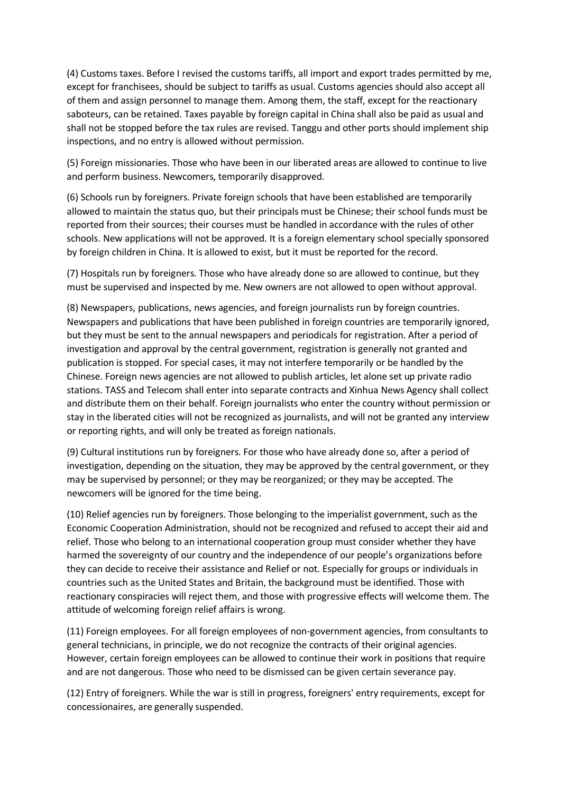(4) Customs taxes. Before I revised the customs tariffs, all import and export trades permitted by me, except for franchisees, should be subject to tariffs as usual. Customs agencies should also accept all of them and assign personnel to manage them. Among them, the staff, except for the reactionary saboteurs, can be retained. Taxes payable by foreign capital in China shall also be paid as usual and shall not be stopped before the tax rules are revised. Tanggu and other ports should implement ship inspections, and no entry is allowed without permission.

(5) Foreign missionaries. Those who have been in our liberated areas are allowed to continue to live and perform business. Newcomers, temporarily disapproved.

(6) Schools run by foreigners. Private foreign schools that have been established are temporarily allowed to maintain the status quo, but their principals must be Chinese; their school funds must be reported from their sources; their courses must be handled in accordance with the rules of other schools. New applications will not be approved. It is a foreign elementary school specially sponsored by foreign children in China. It is allowed to exist, but it must be reported for the record.

(7) Hospitals run by foreigners. Those who have already done so are allowed to continue, but they must be supervised and inspected by me. New owners are not allowed to open without approval.

(8) Newspapers, publications, news agencies, and foreign journalists run by foreign countries. Newspapers and publications that have been published in foreign countries are temporarily ignored, but they must be sent to the annual newspapers and periodicals for registration. After a period of investigation and approval by the central government, registration is generally not granted and publication is stopped. For special cases, it may not interfere temporarily or be handled by the Chinese. Foreign news agencies are not allowed to publish articles, let alone set up private radio stations. TASS and Telecom shall enter into separate contracts and Xinhua News Agency shall collect and distribute them on their behalf. Foreign journalists who enter the country without permission or stay in the liberated cities will not be recognized as journalists, and will not be granted any interview or reporting rights, and will only be treated as foreign nationals.

(9) Cultural institutions run by foreigners. For those who have already done so, after a period of investigation, depending on the situation, they may be approved by the central government, or they may be supervised by personnel; or they may be reorganized; or they may be accepted. The newcomers will be ignored for the time being.

(10) Relief agencies run by foreigners. Those belonging to the imperialist government, such as the Economic Cooperation Administration, should not be recognized and refused to accept their aid and relief. Those who belong to an international cooperation group must consider whether they have harmed the sovereignty of our country and the independence of our people's organizations before they can decide to receive their assistance and Relief or not. Especially for groups or individuals in countries such as the United States and Britain, the background must be identified. Those with reactionary conspiracies will reject them, and those with progressive effects will welcome them. The attitude of welcoming foreign relief affairs is wrong.

(11) Foreign employees. For all foreign employees of non-government agencies, from consultants to general technicians, in principle, we do not recognize the contracts of their original agencies. However, certain foreign employees can be allowed to continue their work in positions that require and are not dangerous. Those who need to be dismissed can be given certain severance pay.

(12) Entry of foreigners. While the war is still in progress, foreigners' entry requirements, except for concessionaires, are generally suspended.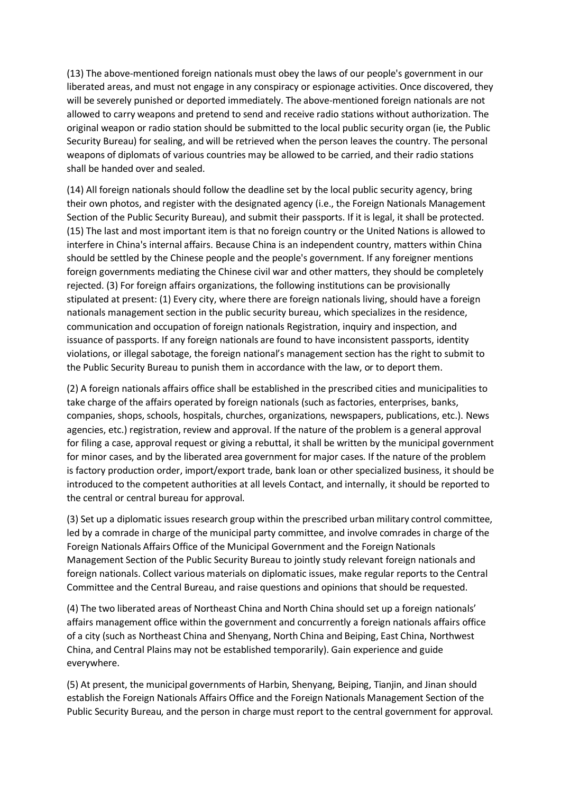(13) The above-mentioned foreign nationals must obey the laws of our people's government in our liberated areas, and must not engage in any conspiracy or espionage activities. Once discovered, they will be severely punished or deported immediately. The above-mentioned foreign nationals are not allowed to carry weapons and pretend to send and receive radio stations without authorization. The original weapon or radio station should be submitted to the local public security organ (ie, the Public Security Bureau) for sealing, and will be retrieved when the person leaves the country. The personal weapons of diplomats of various countries may be allowed to be carried, and their radio stations shall be handed over and sealed.

(14) All foreign nationals should follow the deadline set by the local public security agency, bring their own photos, and register with the designated agency (i.e., the Foreign Nationals Management Section of the Public Security Bureau), and submit their passports. If it is legal, it shall be protected. (15) The last and most important item is that no foreign country or the United Nations is allowed to interfere in China's internal affairs. Because China is an independent country, matters within China should be settled by the Chinese people and the people's government. If any foreigner mentions foreign governments mediating the Chinese civil war and other matters, they should be completely rejected. (3) For foreign affairs organizations, the following institutions can be provisionally stipulated at present: (1) Every city, where there are foreign nationals living, should have a foreign nationals management section in the public security bureau, which specializes in the residence, communication and occupation of foreign nationals Registration, inquiry and inspection, and issuance of passports. If any foreign nationals are found to have inconsistent passports, identity violations, or illegal sabotage, the foreign national's management section has the right to submit to the Public Security Bureau to punish them in accordance with the law, or to deport them.

(2) A foreign nationals affairs office shall be established in the prescribed cities and municipalities to take charge of the affairs operated by foreign nationals (such as factories, enterprises, banks, companies, shops, schools, hospitals, churches, organizations, newspapers, publications, etc.). News agencies, etc.) registration, review and approval. If the nature of the problem is a general approval for filing a case, approval request or giving a rebuttal, it shall be written by the municipal government for minor cases, and by the liberated area government for major cases. If the nature of the problem is factory production order, import/export trade, bank loan or other specialized business, it should be introduced to the competent authorities at all levels Contact, and internally, it should be reported to the central or central bureau for approval.

(3) Set up a diplomatic issues research group within the prescribed urban military control committee, led by a comrade in charge of the municipal party committee, and involve comrades in charge of the Foreign Nationals Affairs Office of the Municipal Government and the Foreign Nationals Management Section of the Public Security Bureau to jointly study relevant foreign nationals and foreign nationals. Collect various materials on diplomatic issues, make regular reports to the Central Committee and the Central Bureau, and raise questions and opinions that should be requested.

(4) The two liberated areas of Northeast China and North China should set up a foreign nationals' affairs management office within the government and concurrently a foreign nationals affairs office of a city (such as Northeast China and Shenyang, North China and Beiping, East China, Northwest China, and Central Plains may not be established temporarily). Gain experience and guide everywhere.

(5) At present, the municipal governments of Harbin, Shenyang, Beiping, Tianjin, and Jinan should establish the Foreign Nationals Affairs Office and the Foreign Nationals Management Section of the Public Security Bureau, and the person in charge must report to the central government for approval.